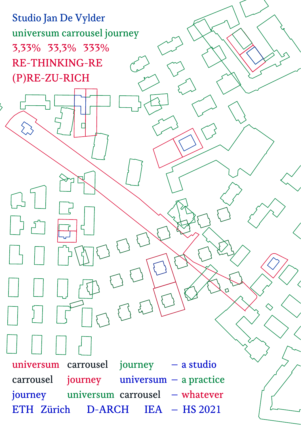Studio Jan De Vylder universum carrousel journey 3,33% 33,3% 333% RE-THINKING-RE (P)RE-ZU-RICH



 $\Omega$